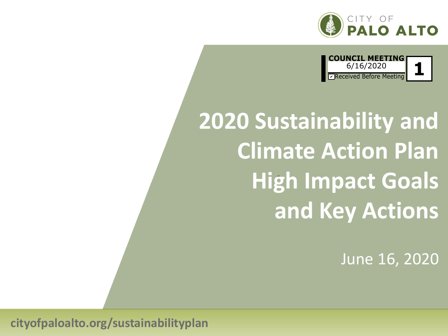



# **2020 Sustainability and Climate Action Plan High Impact Goals and Key Actions**

June 16, 2020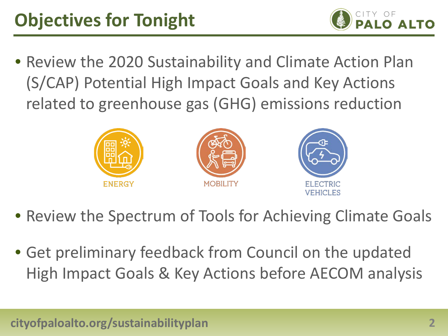

• Review the 2020 Sustainability and Climate Action Plan (S/CAP) Potential High Impact Goals and Key Actions related to greenhouse gas (GHG) emissions reduction



- Review the Spectrum of Tools for Achieving Climate Goals
- Get preliminary feedback from Council on the updated High Impact Goals & Key Actions before AECOM analysis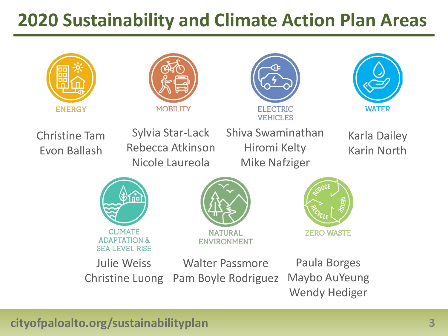# **2020 Sustainability and Climate Action Plan Areas**









#### Christine Tam Evon Ballash

Sylvia Star-Lack Rebecca Atkinson Nicole Laureola

Shiva Swaminathan Hiromi Kelty Mike Nafziger

Karla Dailey Karin North







Christine Luong Walter Passmore Pam Boyle Rodriguez

Paula Borges Maybo AuYeung Wendy Hediger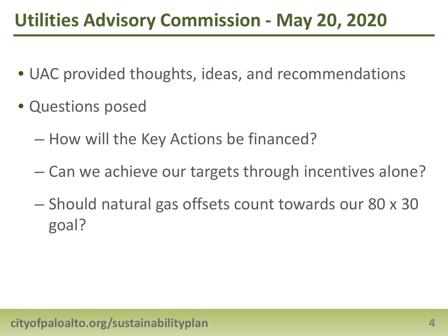# **Utilities Advisory Commission - May 20, 2020**

- UAC provided thoughts, ideas, and recommendations
- Questions posed
	- How will the Key Actions be financed?
	- Can we achieve our targets through incentives alone?
	- Should natural gas offsets count towards our 80 x 30 goal?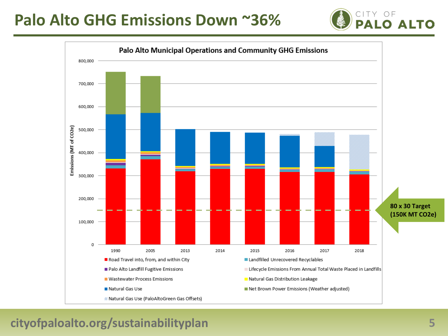## **Palo Alto GHG Emissions Down ~36%**



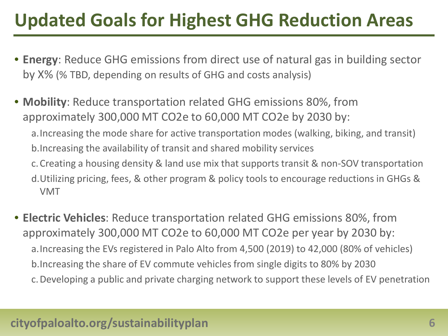# **Updated Goals for Highest GHG Reduction Areas**

- **Energy**: Reduce GHG emissions from direct use of natural gas in building sector by X% (% TBD, depending on results of GHG and costs analysis)
- **Mobility**: Reduce transportation related GHG emissions 80%, from approximately 300,000 MT CO2e to 60,000 MT CO2e by 2030 by: a.Increasing the mode share for active transportation modes (walking, biking, and transit) b.Increasing the availability of transit and shared mobility services c.Creating a housing density & land use mix that supports transit & non-SOV transportation d.Utilizing pricing, fees, & other program & policy tools to encourage reductions in GHGs & VMT
- **Electric Vehicles**: Reduce transportation related GHG emissions 80%, from approximately 300,000 MT CO2e to 60,000 MT CO2e per year by 2030 by: a.Increasing the EVs registered in Palo Alto from 4,500 (2019) to 42,000 (80% of vehicles) b.Increasing the share of EV commute vehicles from single digits to 80% by 2030 c.Developing a public and private charging network to support these levels of EV penetration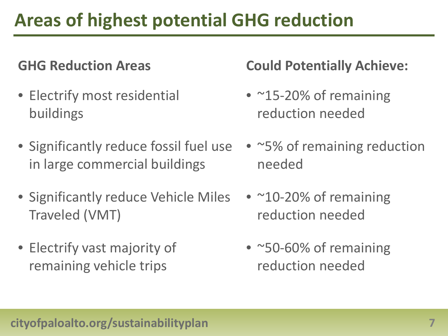# **Areas of highest potential GHG reduction**

- Electrify most residential buildings
- Significantly reduce fossil fuel use in large commercial buildings
- Significantly reduce Vehicle Miles Traveled (VMT)
- Electrify vast majority of remaining vehicle trips

## **GHG Reduction Areas Could Potentially Achieve:**

- ~15-20% of remaining reduction needed
- ~5% of remaining reduction needed
- $~10$ -20% of remaining reduction needed
- ~50-60% of remaining reduction needed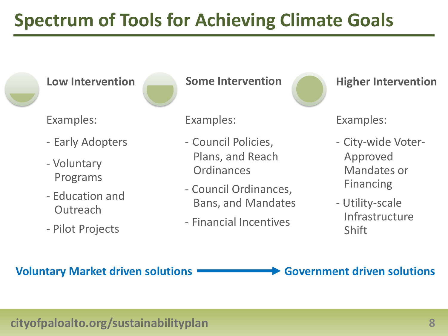# **Spectrum of Tools for Achieving Climate Goals**



**Low Intervention**



Examples:

- Early Adopters
- Voluntary Programs
- Education and **Outreach**
- Pilot Projects

**Some Intervention**

Examples:

- Council Policies, Plans, and Reach **Ordinances**
- Council Ordinances, Bans, and Mandates
- Financial Incentives



**Higher Intervention**

Examples:

- City-wide Voter-Approved Mandates or Financing
- Utility-scale Infrastructure Shift

**Voluntary Market driven solutions Government driven solutions**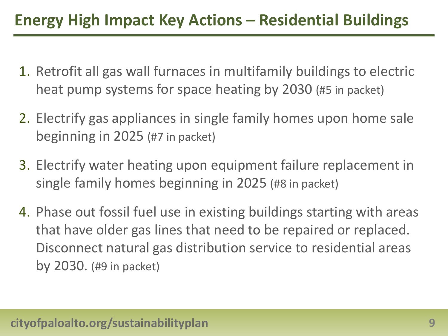## **Energy High Impact Key Actions – Residential Buildings**

- 1. Retrofit all gas wall furnaces in multifamily buildings to electric heat pump systems for space heating by 2030 (#5 in packet)
- 2. Electrify gas appliances in single family homes upon home sale beginning in 2025 (#7 in packet)
- 3. Electrify water heating upon equipment failure replacement in single family homes beginning in 2025 (#8 in packet)
- 4. Phase out fossil fuel use in existing buildings starting with areas that have older gas lines that need to be repaired or replaced. Disconnect natural gas distribution service to residential areas by 2030. (#9 in packet)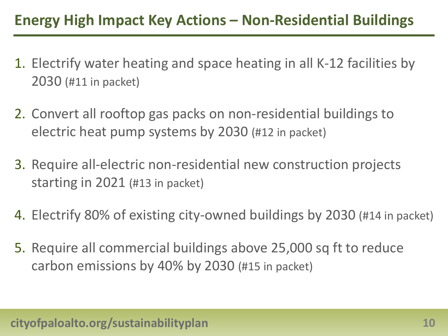## **Energy High Impact Key Actions – Non-Residential Buildings**

- 1. Electrify water heating and space heating in all K-12 facilities by 2030 (#11 in packet)
- 2. Convert all rooftop gas packs on non-residential buildings to electric heat pump systems by 2030 (#12 in packet)
- 3. Require all-electric non-residential new construction projects starting in 2021 (#13 in packet)
- 4. Electrify 80% of existing city-owned buildings by 2030 (#14 in packet)
- 5. Require all commercial buildings above 25,000 sq ft to reduce carbon emissions by 40% by 2030 (#15 in packet)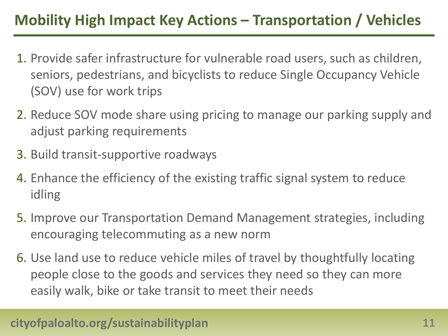## **Mobility High Impact Key Actions – Transportation / Vehicles**

- 1. Provide safer infrastructure for vulnerable road users, such as children, seniors, pedestrians, and bicyclists to reduce Single Occupancy Vehicle (SOV) use for work trips
- 2. Reduce SOV mode share using pricing to manage our parking supply and adjust parking requirements
- 3. Build transit-supportive roadways
- 4. Enhance the efficiency of the existing traffic signal system to reduce idling
- 5. Improve our Transportation Demand Management strategies, including encouraging telecommuting as a new norm
- 6. Use land use to reduce vehicle miles of travel by thoughtfully locating people close to the goods and services they need so they can more easily walk, bike or take transit to meet their needs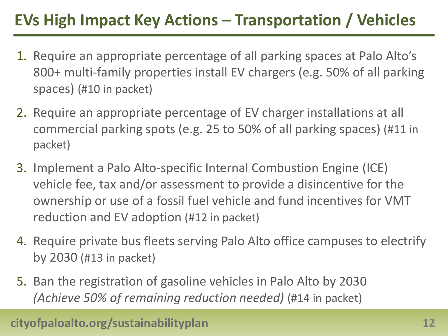## **EVs High Impact Key Actions – Transportation / Vehicles**

- 1. Require an appropriate percentage of all parking spaces at Palo Alto's 800+ multi-family properties install EV chargers (e.g. 50% of all parking spaces) (#10 in packet)
- 2. Require an appropriate percentage of EV charger installations at all commercial parking spots (e.g. 25 to 50% of all parking spaces) (#11 in packet)
- 3. Implement a Palo Alto-specific Internal Combustion Engine (ICE) vehicle fee, tax and/or assessment to provide a disincentive for the ownership or use of a fossil fuel vehicle and fund incentives for VMT reduction and EV adoption (#12 in packet)
- 4. Require private bus fleets serving Palo Alto office campuses to electrify by 2030 (#13 in packet)
- 5. Ban the registration of gasoline vehicles in Palo Alto by 2030 *(Achieve 50% of remaining reduction needed)* (#14 in packet)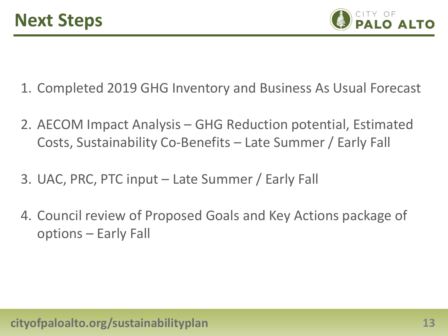

- 1. Completed 2019 GHG Inventory and Business As Usual Forecast
- 2. AECOM Impact Analysis GHG Reduction potential, Estimated Costs, Sustainability Co-Benefits – Late Summer / Early Fall
- 3. UAC, PRC, PTC input Late Summer / Early Fall
- 4. Council review of Proposed Goals and Key Actions package of options – Early Fall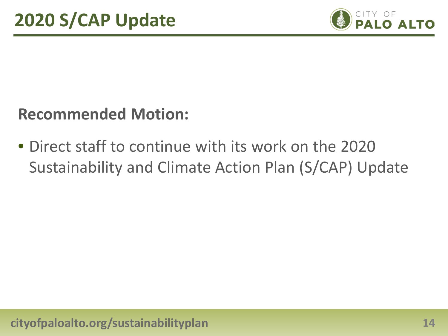

## **Recommended Motion:**

• Direct staff to continue with its work on the 2020 Sustainability and Climate Action Plan (S/CAP) Update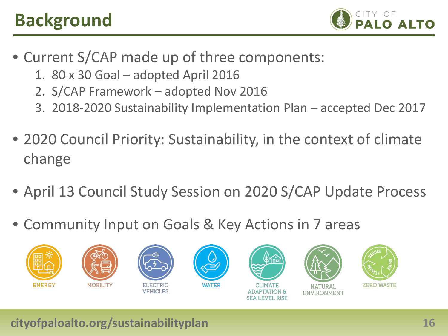# **Background**



- Current S/CAP made up of three components:
	- 1. 80 x 30 Goal adopted April 2016
	- 2. S/CAP Framework adopted Nov 2016
	- 3. 2018-2020 Sustainability Implementation Plan accepted Dec 2017
- 2020 Council Priority: Sustainability, in the context of climate change
- April 13 Council Study Session on 2020 S/CAP Update Process
- Community Input on Goals & Key Actions in 7 areas

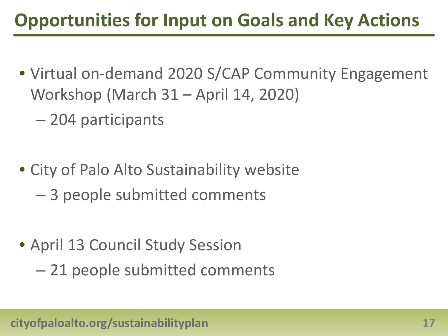# **Opportunities for Input on Goals and Key Actions**

- Virtual on-demand 2020 S/CAP Community Engagement Workshop (March 31 – April 14, 2020)
	- 204 participants
- City of Palo Alto Sustainability website
	- 3 people submitted comments
- April 13 Council Study Session
	- 21 people submitted comments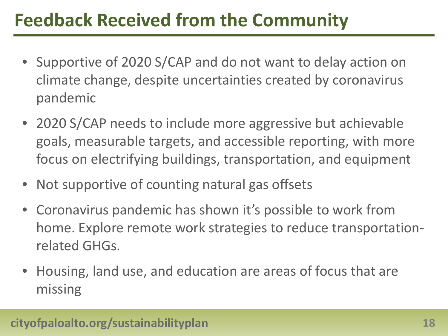# **Feedback Received from the Community**

- Supportive of 2020 S/CAP and do not want to delay action on climate change, despite uncertainties created by coronavirus pandemic
- 2020 S/CAP needs to include more aggressive but achievable goals, measurable targets, and accessible reporting, with more focus on electrifying buildings, transportation, and equipment
- Not supportive of counting natural gas offsets
- Coronavirus pandemic has shown it's possible to work from home. Explore remote work strategies to reduce transportationrelated GHGs.
- Housing, land use, and education are areas of focus that are missing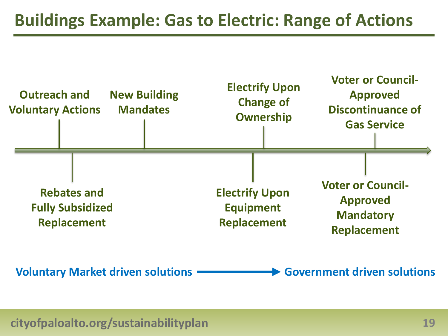## **Buildings Example: Gas to Electric: Range of Actions**